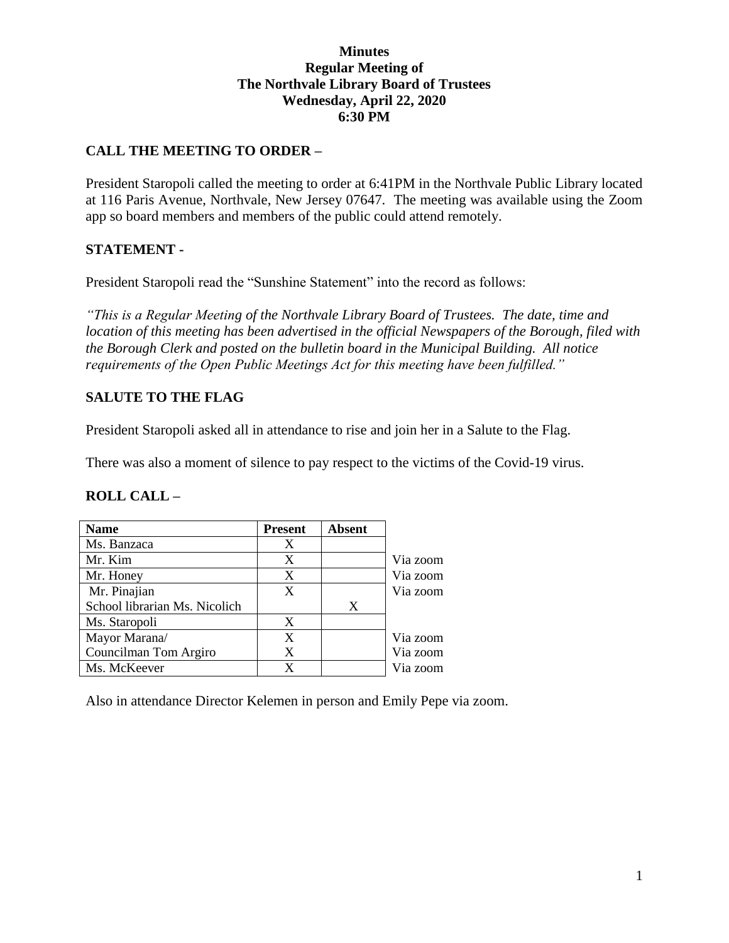#### **Minutes Regular Meeting of The Northvale Library Board of Trustees Wednesday, April 22, 2020 6:30 PM**

### **CALL THE MEETING TO ORDER –**

President Staropoli called the meeting to order at 6:41PM in the Northvale Public Library located at 116 Paris Avenue, Northvale, New Jersey 07647. The meeting was available using the Zoom app so board members and members of the public could attend remotely.

### **STATEMENT -**

President Staropoli read the "Sunshine Statement" into the record as follows:

*"This is a Regular Meeting of the Northvale Library Board of Trustees. The date, time and location of this meeting has been advertised in the official Newspapers of the Borough, filed with the Borough Clerk and posted on the bulletin board in the Municipal Building. All notice requirements of the Open Public Meetings Act for this meeting have been fulfilled."* 

### **SALUTE TO THE FLAG**

President Staropoli asked all in attendance to rise and join her in a Salute to the Flag.

There was also a moment of silence to pay respect to the victims of the Covid-19 virus.

### **ROLL CALL –**

| <b>Name</b>                   | <b>Present</b> | <b>Absent</b> |          |
|-------------------------------|----------------|---------------|----------|
| Ms. Banzaca                   | X              |               |          |
| Mr. Kim                       | X              |               | Via zoom |
| Mr. Honey                     | X              |               | Via zoom |
| Mr. Pinajian                  | X              |               | Via zoom |
| School librarian Ms. Nicolich |                | X             |          |
| Ms. Staropoli                 | X              |               |          |
| Mayor Marana/                 | X              |               | Via zoom |
| Councilman Tom Argiro         | X              |               | Via zoom |
| Ms. McKeever                  | x              |               | Via zoom |

Also in attendance Director Kelemen in person and Emily Pepe via zoom.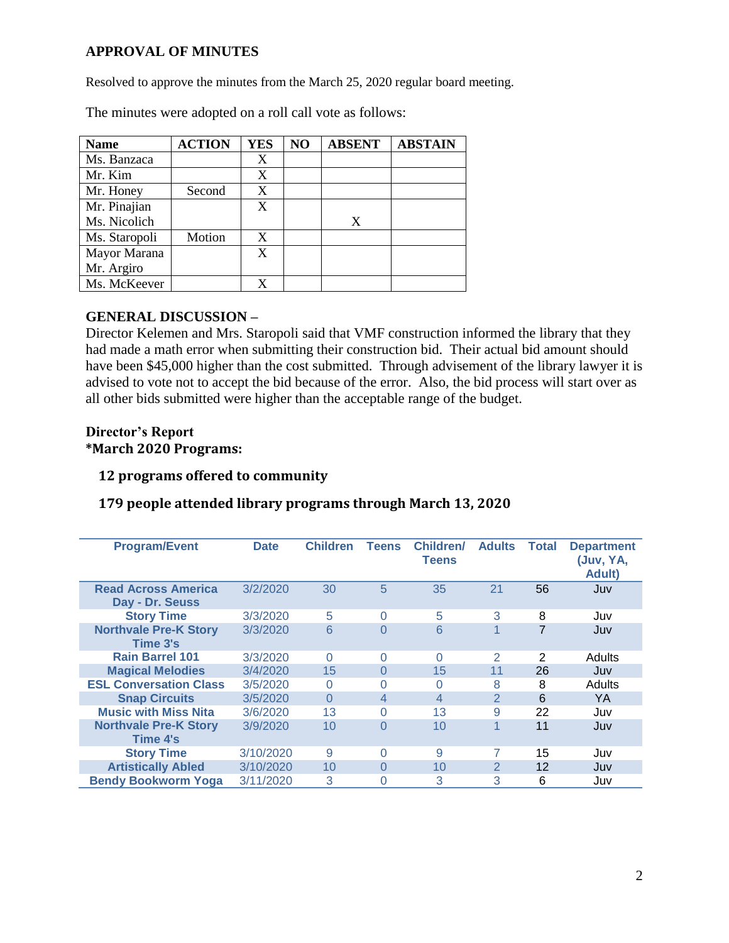### **APPROVAL OF MINUTES**

Resolved to approve the minutes from the March 25, 2020 regular board meeting.

| <b>Name</b>   | <b>ACTION</b> | <b>YES</b> | NO | <b>ABSENT</b> | <b>ABSTAIN</b> |
|---------------|---------------|------------|----|---------------|----------------|
| Ms. Banzaca   |               | X          |    |               |                |
| Mr. Kim       |               | X          |    |               |                |
| Mr. Honey     | Second        | X          |    |               |                |
| Mr. Pinajian  |               | X          |    |               |                |
| Ms. Nicolich  |               |            |    | X             |                |
| Ms. Staropoli | Motion        | X          |    |               |                |
| Mayor Marana  |               | X          |    |               |                |
| Mr. Argiro    |               |            |    |               |                |
| Ms. McKeever  |               |            |    |               |                |

The minutes were adopted on a roll call vote as follows:

### **GENERAL DISCUSSION –**

Director Kelemen and Mrs. Staropoli said that VMF construction informed the library that they had made a math error when submitting their construction bid. Their actual bid amount should have been \$45,000 higher than the cost submitted. Through advisement of the library lawyer it is advised to vote not to accept the bid because of the error. Also, the bid process will start over as all other bids submitted were higher than the acceptable range of the budget.

#### **Director's Report \*March 2020 Programs:**

### **12 programs offered to community**

### **179 people attended library programs through March 13, 2020**

| <b>Program/Event</b>                          | <b>Date</b> | <b>Children</b> | <b>Teens</b>   | <b>Children/</b><br><b>Teens</b> | <b>Adults</b>  | <b>Total</b> | <b>Department</b><br>(Juv, YA,<br>Adult) |
|-----------------------------------------------|-------------|-----------------|----------------|----------------------------------|----------------|--------------|------------------------------------------|
| <b>Read Across America</b><br>Day - Dr. Seuss | 3/2/2020    | 30              | 5              | 35                               | 21             | 56           | Juv                                      |
| <b>Story Time</b>                             | 3/3/2020    | 5               | $\Omega$       | 5                                | 3              | 8            | Juv                                      |
| <b>Northvale Pre-K Story</b><br>Time 3's      | 3/3/2020    | 6               | $\Omega$       | 6                                |                |              | Juv                                      |
| <b>Rain Barrel 101</b>                        | 3/3/2020    | 0               | 0              | 0                                | $\overline{2}$ | 2            | Adults                                   |
| <b>Magical Melodies</b>                       | 3/4/2020    | 15              | $\Omega$       | 15                               | 11             | 26           | Juv                                      |
| <b>ESL Conversation Class</b>                 | 3/5/2020    | 0               | $\Omega$       | 0                                | 8              | 8            | <b>Adults</b>                            |
| <b>Snap Circuits</b>                          | 3/5/2020    | $\Omega$        | $\overline{4}$ | 4                                | $\overline{2}$ | 6            | YA                                       |
| <b>Music with Miss Nita</b>                   | 3/6/2020    | 13              | $\Omega$       | 13                               | 9              | 22           | Juv                                      |
| <b>Northvale Pre-K Story</b><br>Time 4's      | 3/9/2020    | 10              | $\Omega$       | 10                               |                | 11           | Juv                                      |
| <b>Story Time</b>                             | 3/10/2020   | 9               | 0              | 9                                |                | 15           | Juv                                      |
| <b>Artistically Abled</b>                     | 3/10/2020   | 10              | $\Omega$       | 10                               | $\overline{2}$ | 12           | Juv                                      |
| <b>Bendy Bookworm Yoga</b>                    | 3/11/2020   | 3               | 0              | 3                                | 3              | 6            | Juv                                      |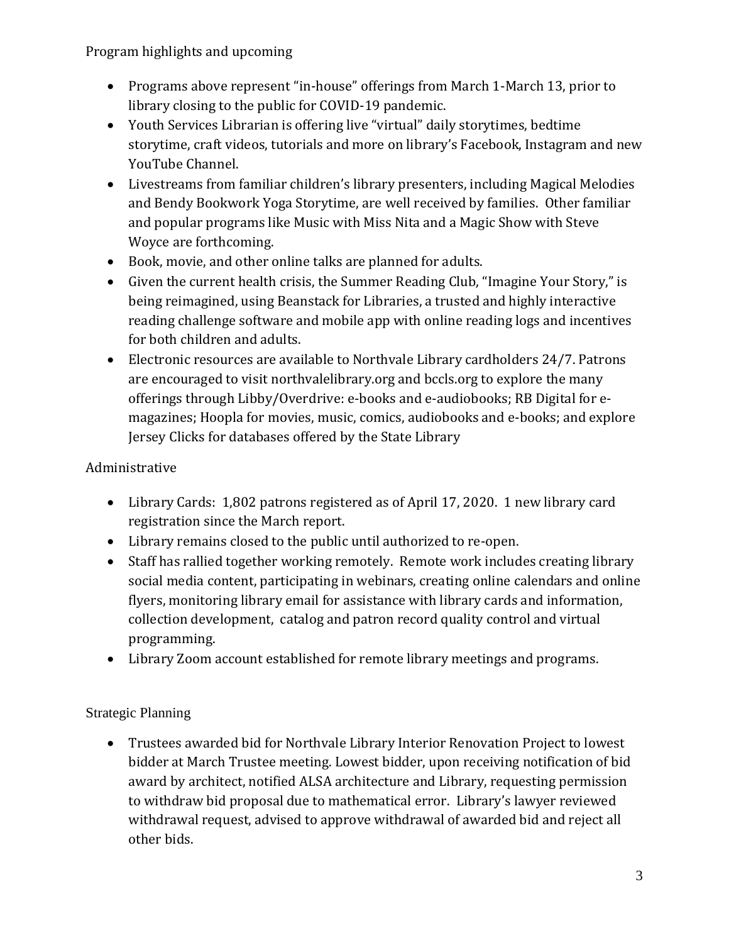Program highlights and upcoming

- Programs above represent "in-house" offerings from March 1-March 13, prior to library closing to the public for COVID-19 pandemic.
- Youth Services Librarian is offering live "virtual" daily storytimes, bedtime storytime, craft videos, tutorials and more on library's Facebook, Instagram and new YouTube Channel.
- Livestreams from familiar children's library presenters, including Magical Melodies and Bendy Bookwork Yoga Storytime, are well received by families. Other familiar and popular programs like Music with Miss Nita and a Magic Show with Steve Woyce are forthcoming.
- Book, movie, and other online talks are planned for adults.
- Given the current health crisis, the Summer Reading Club, "Imagine Your Story," is being reimagined, using Beanstack for Libraries, a trusted and highly interactive reading challenge software and mobile app with online reading logs and incentives for both children and adults.
- Electronic resources are available to Northvale Library cardholders 24/7. Patrons are encouraged to visit northvalelibrary.org and bccls.org to explore the many offerings through Libby/Overdrive: e-books and e-audiobooks; RB Digital for emagazines; Hoopla for movies, music, comics, audiobooks and e-books; and explore Jersey Clicks for databases offered by the State Library

# Administrative

- Library Cards: 1,802 patrons registered as of April 17, 2020. 1 new library card registration since the March report.
- Library remains closed to the public until authorized to re-open.
- Staff has rallied together working remotely. Remote work includes creating library social media content, participating in webinars, creating online calendars and online flyers, monitoring library email for assistance with library cards and information, collection development, catalog and patron record quality control and virtual programming.
- Library Zoom account established for remote library meetings and programs.

# Strategic Planning

 Trustees awarded bid for Northvale Library Interior Renovation Project to lowest bidder at March Trustee meeting. Lowest bidder, upon receiving notification of bid award by architect, notified ALSA architecture and Library, requesting permission to withdraw bid proposal due to mathematical error. Library's lawyer reviewed withdrawal request, advised to approve withdrawal of awarded bid and reject all other bids.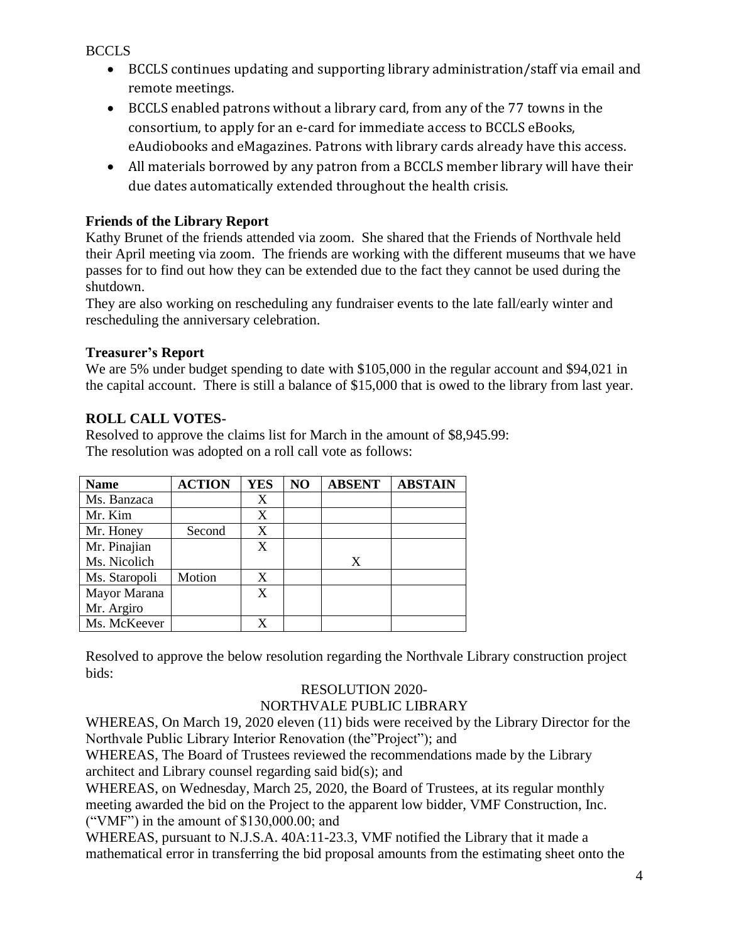BCCLS

- BCCLS continues updating and supporting library administration/staff via email and remote meetings.
- BCCLS enabled patrons without a library card, from any of the 77 towns in the consortium, to apply for an e-card for immediate access to BCCLS eBooks, eAudiobooks and eMagazines. Patrons with library cards already have this access.
- All materials borrowed by any patron from a BCCLS member library will have their due dates automatically extended throughout the health crisis.

## **Friends of the Library Report**

Kathy Brunet of the friends attended via zoom. She shared that the Friends of Northvale held their April meeting via zoom. The friends are working with the different museums that we have passes for to find out how they can be extended due to the fact they cannot be used during the shutdown.

They are also working on rescheduling any fundraiser events to the late fall/early winter and rescheduling the anniversary celebration.

### **Treasurer's Report**

We are 5% under budget spending to date with \$105,000 in the regular account and \$94,021 in the capital account. There is still a balance of \$15,000 that is owed to the library from last year.

## **ROLL CALL VOTES-**

Resolved to approve the claims list for March in the amount of \$8,945.99: The resolution was adopted on a roll call vote as follows:

| <b>Name</b>   | <b>ACTION</b> | YES | N <sub>O</sub> | <b>ABSENT</b> | <b>ABSTAIN</b> |
|---------------|---------------|-----|----------------|---------------|----------------|
| Ms. Banzaca   |               | X   |                |               |                |
| Mr. Kim       |               | X   |                |               |                |
| Mr. Honey     | Second        | X   |                |               |                |
| Mr. Pinajian  |               | X   |                |               |                |
| Ms. Nicolich  |               |     |                | X             |                |
| Ms. Staropoli | Motion        | X   |                |               |                |
| Mayor Marana  |               | X   |                |               |                |
| Mr. Argiro    |               |     |                |               |                |
| Ms. McKeever  |               | X   |                |               |                |

Resolved to approve the below resolution regarding the Northvale Library construction project bids:

# RESOLUTION 2020-

## NORTHVALE PUBLIC LIBRARY

WHEREAS, On March 19, 2020 eleven (11) bids were received by the Library Director for the Northvale Public Library Interior Renovation (the"Project"); and

WHEREAS, The Board of Trustees reviewed the recommendations made by the Library architect and Library counsel regarding said bid(s); and

WHEREAS, on Wednesday, March 25, 2020, the Board of Trustees, at its regular monthly meeting awarded the bid on the Project to the apparent low bidder, VMF Construction, Inc. ("VMF") in the amount of \$130,000.00; and

WHEREAS, pursuant to N.J.S.A. 40A:11-23.3, VMF notified the Library that it made a mathematical error in transferring the bid proposal amounts from the estimating sheet onto the